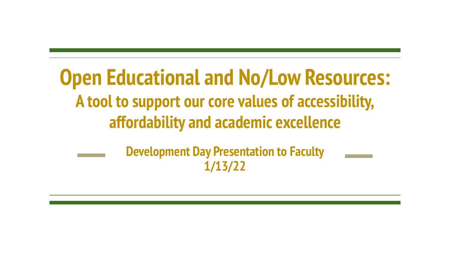# **Open Educational and No/Low Resources: A tool to support our core values of accessibility, affordability and academic excellence**

**Development Day Presentation to Faculty 1/13/22**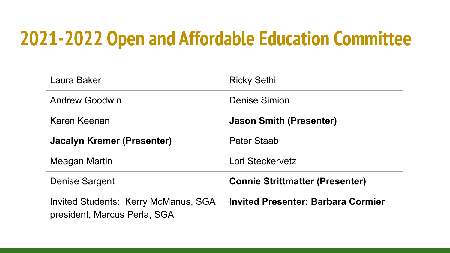## **2021-2022 Open and Affordable Education Committee**

| Laura Baker                                                                 | <b>Ricky Sethi</b>                        |  |
|-----------------------------------------------------------------------------|-------------------------------------------|--|
| <b>Andrew Goodwin</b>                                                       | Denise Simion                             |  |
| Karen Keenan                                                                | <b>Jason Smith (Presenter)</b>            |  |
| Jacalyn Kremer (Presenter)                                                  | Peter Staab                               |  |
| Meagan Martin                                                               | Lori Steckervetz                          |  |
| <b>Denise Sargent</b>                                                       | <b>Connie Strittmatter (Presenter)</b>    |  |
| <b>Invited Students: Kerry McManus, SGA</b><br>president, Marcus Perla, SGA | <b>Invited Presenter: Barbara Cormier</b> |  |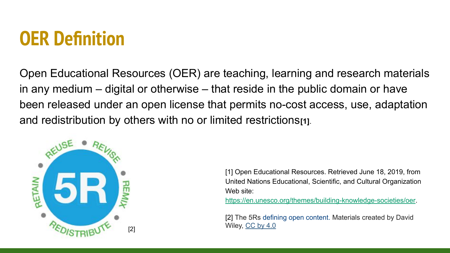## **OER Definition**

Open Educational Resources (OER) are teaching, learning and research materials in any medium – digital or otherwise – that reside in the public domain or have been released under an open license that permits no-cost access, use, adaptation and redistribution by others with no or limited restrictions<sup>[1]</sup>.



[1] Open Educational Resources. Retrieved June 18, 2019, from United Nations Educational, Scientific, and Cultural Organization Web site[:](https://en.unesco.org/themes/building-knowledge-societies/oer) [https://en.unesco.org/themes/building-knowledge-societies/oer.](https://en.unesco.org/themes/building-knowledge-societies/oer)

[2] The 5Rs [defining open content.](http://www.opencontent.org/definition/) Materials created by David The UVII of the Wiley, <u>[CC by 4.0](https://creativecommons.org/licenses/by/4.0/)</u>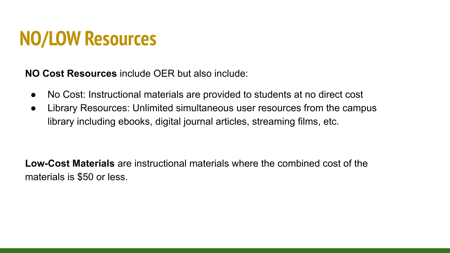## **NO/LOW Resources**

**NO Cost Resources** include OER but also include:

- No Cost: Instructional materials are provided to students at no direct cost
- Library Resources: Unlimited simultaneous user resources from the campus library including ebooks, digital journal articles, streaming films, etc.

**Low-Cost Materials** are instructional materials where the combined cost of the materials is \$50 or less.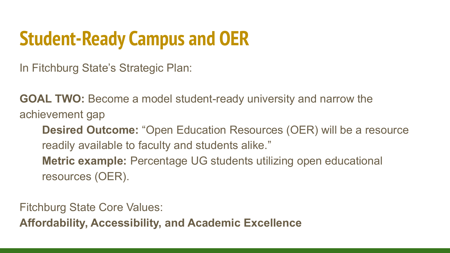# **Student-Ready Campus and OER**

In Fitchburg State's Strategic Plan:

**GOAL TWO:** Become a model student-ready university and narrow the achievement gap

**Desired Outcome:** "Open Education Resources (OER) will be a resource readily available to faculty and students alike." **Metric example:** Percentage UG students utilizing open educational resources (OER).

Fitchburg State Core Values:

**Affordability, Accessibility, and Academic Excellence**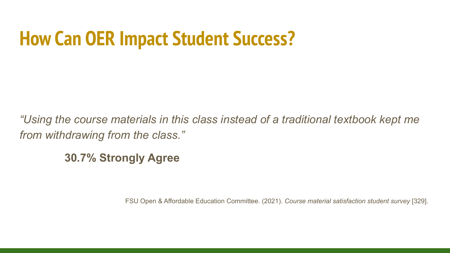# **How Can OER Impact Student Success?**

*"Using the course materials in this class instead of a traditional textbook kept me from withdrawing from the class."*

**30.7% Strongly Agree**

FSU Open & Affordable Education Committee. (2021). *Course material satisfaction student survey* [329]*.*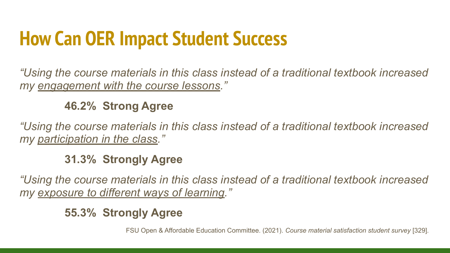# **How Can OER Impact Student Success**

*"Using the course materials in this class instead of a traditional textbook increased my engagement with the course lessons."*

### **46.2% Strong Agree**

*"Using the course materials in this class instead of a traditional textbook increased my participation in the class."*

**31.3% Strongly Agree**

*"Using the course materials in this class instead of a traditional textbook increased my exposure to different ways of learning."*

### **55.3% Strongly Agree**

FSU Open & Affordable Education Committee. (2021). *Course material satisfaction student survey* [329]*.*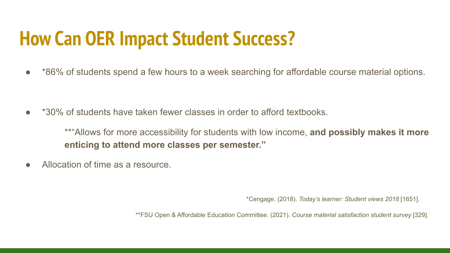# **How Can OER Impact Student Success?**

● \*86% of students spend a few hours to a week searching for affordable course material options.

\*30% of students have taken fewer classes in order to afford textbooks.

\*\*"Allows for more accessibility for students with low income, **and possibly makes it more enticing to attend more classes per semester."**

Allocation of time as a resource.

\*Cengage. (2018). *Today's learner: Student views 2018* [1651].

\*\*FSU Open & Affordable Education Committee. (2021). *Course material satisfaction student survey* [329]*.*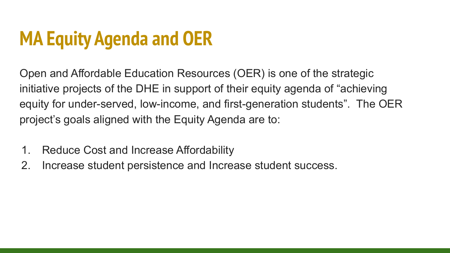# **MA Equity Agenda and OER**

Open and Affordable Education Resources (OER) is one of the strategic initiative projects of the DHE in support of their equity agenda of "achieving equity for under-served, low-income, and first-generation students". The OER project's goals aligned with the Equity Agenda are to:

- 1. Reduce Cost and Increase Affordability
- 2. Increase student persistence and Increase student success.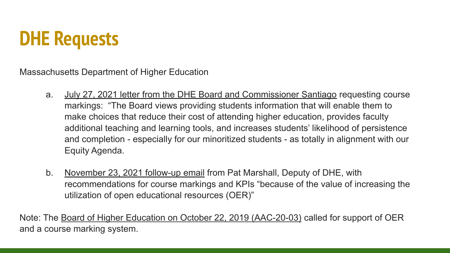# **DHE Requests**

Massachusetts Department of Higher Education

- a. [July 27, 2021 letter from the DHE Board and Commissioner Santiago](https://docs.google.com/document/d/1rg8BOZtv_X2TD_mh1J4cdGwAQ473SzUZ/edit?usp=sharing&ouid=109930971964783552567&rtpof=true&sd=true) requesting course markings: "The Board views providing students information that will enable them to make choices that reduce their cost of attending higher education, provides faculty additional teaching and learning tools, and increases students' likelihood of persistence and completion - especially for our minoritized students - as totally in alignment with our Equity Agenda.
- b. [November 23, 2021 follow-up email](https://docs.google.com/document/d/18LfhyphW0TR5YHyCCoAHJln6Vjlo8G7DX_UX-fCgecQ/edit?usp=sharing) from Pat Marshall, Deputy of DHE, with recommendations for course markings and KPIs "because of the value of increasing the utilization of open educational resources (OER)"

Note: The [Board of Higher Education on October 22, 2019 \(AAC-20-03\)](https://www.mass.edu/bhe/lib/documents/AAC/03_AAC_20_03%20OER%20Report%20and%20Recommendations.pdf) called for support of OER and a course marking system.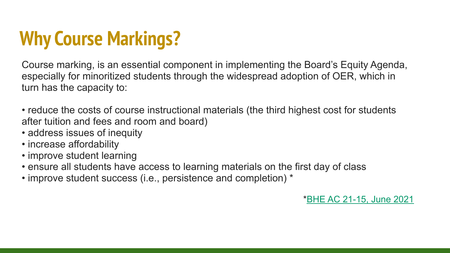# **Why Course Markings?**

Course marking, is an essential component in implementing the Board's Equity Agenda, especially for minoritized students through the widespread adoption of OER, which in turn has the capacity to:

- reduce the costs of course instructional materials (the third highest cost for students after tuition and fees and room and board)
- address issues of inequity
- increase affordability
- improve student learning
- ensure all students have access to learning materials on the first day of class
- improve student success (i.e., persistence and completion) \*

\*[BHE AC 21-15, June 2021](https://www.mass.edu/bhe/lib/documents/AAC/07_AAC%2021-15%20OER%20Motion.pdf)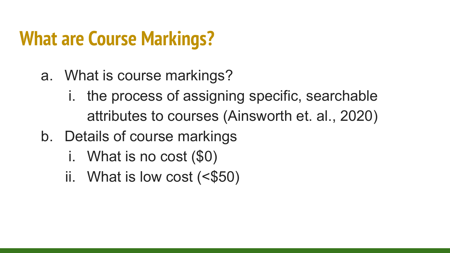# **What are Course Markings?**

- a. What is course markings?
	- i. the process of assigning specific, searchable attributes to courses (Ainsworth et. al., 2020)
- b. Details of course markings
	- i. What is no cost (\$0)
	- ii. What is low cost  $( $$50$ )$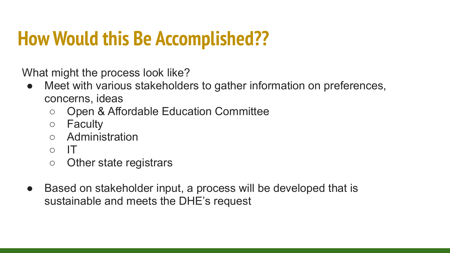# **How Would this Be Accomplished??**

What might the process look like?

- Meet with various stakeholders to gather information on preferences, concerns, ideas
	- Open & Affordable Education Committee
	- Faculty
	- Administration
	- IT
	- Other state registrars
- Based on stakeholder input, a process will be developed that is sustainable and meets the DHE's request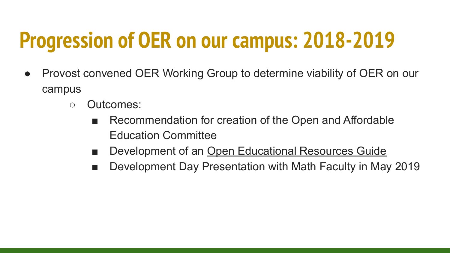# **Progression of OER on our campus: 2018-2019**

- Provost convened OER Working Group to determine viability of OER on our campus
	- Outcomes:
		- Recommendation for creation of the Open and Affordable Education Committee
		- Development of an [Open Educational Resources Guide](https://fitchburgstate.libguides.com/oer)
		- Development Day Presentation with Math Faculty in May 2019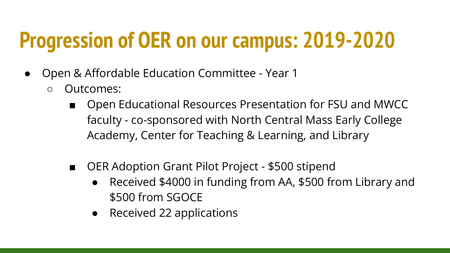# **Progression of OER on our campus: 2019-2020**

- Open & Affordable Education Committee Year 1
	- Outcomes:
		- Open Educational Resources Presentation for FSU and MWCC faculty - co-sponsored with North Central Mass Early College Academy, Center for Teaching & Learning, and Library
		- OER Adoption Grant Pilot Project \$500 stipend
			- Received \$4000 in funding from AA, \$500 from Library and \$500 from SGOCE
			- Received 22 applications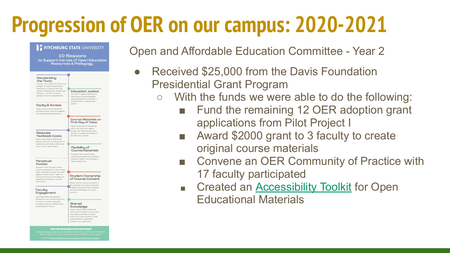# **Progression of OER on our campus: 2020-2021**

#### **FITCHBURG STATE UNIVERSITY** 10 Reasons to Support the Use of Open Education Resources & Pedagogy Decolonizina the Texts Faculty can madify the texts and images of Open Educational Resources to ensure that the course materials are diverse an **Education Justice** inclusive and that multiple The use of Open Educational perspectives ore represented. Resources and pedagogies demonstrates the university's commitments to education justice. **Equity & Access** Open Educational Resource provides equity and accessibility for underserved populations. Course Materials on First Day of Class Open Educational Resources which are free and digital, ensure that all students have Reduced access to course materials on **Textbook Costs** the first day of class Open Educational Resources reduce the cost of education fo students by providing textbooks at no cost to the student. Flexibility of **Course Materials** Students can access Open Educational Resources online of choose to print it according to Perpetual their preferences Access Students have access to their course materials after the course ends. Because OER are free and digital, students don't need to choose between purchasing an **Student Ownership** of Course Content expensive textbook or a shortterm rental When faculty involve students in the creation of course materials. students become more invested Facultu and feel ownership of course Engagement content. Creating Open Educational Resources and customizing texts to meet a course's learning outcomes can be intellectualy Shared rewording for faculty. Knowledge Open Educational Resources removes the barrier of pay walls and allows scholars to easily build off of one another's work which results in expedited research and discovery. **OIN THE OPEN EDUCATION MOVEMENT**

Open and Affordable Education Committee - Year 2

- Received \$25,000 from the Davis Foundation Presidential Grant Program
	- With the funds we were able to do the following:
		- Fund the remaining 12 OER adoption grant applications from Pilot Project I
		- Award \$2000 grant to 3 faculty to create original course materials
		- Convene an OER Community of Practice with 17 faculty participated
		- Created an **Accessibility Toolkit** for Open Educational Materials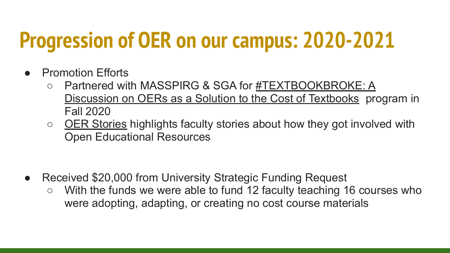# **Progression of OER on our campus: 2020-2021**

- **Promotion Efforts** 
	- Partnered with MASSPIRG & SGA for [#TEXTBOOKBROKE: A](https://fitchburgstate.libguides.com/oer/presentations) [Discussion on OERs as a Solution to the Cost of Textbooks](https://fitchburgstate.libguides.com/oer/presentations) program in Fall 2020
	- [OER Stories](https://fitchburgstate.libguides.com/oer/Stories) highlights faculty stories about how they got involved with Open Educational Resources

- Received \$20,000 from University Strategic Funding Request
	- With the funds we were able to fund 12 faculty teaching 16 courses who were adopting, adapting, or creating no cost course materials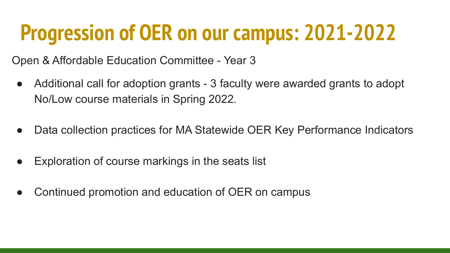# **Progression of OER on our campus: 2021-2022**

Open & Affordable Education Committee - Year 3

- Additional call for adoption grants 3 faculty were awarded grants to adopt No/Low course materials in Spring 2022.
- Data collection practices for MA Statewide OER Key Performance Indicators
- Exploration of course markings in the seats list
- Continued promotion and education of OER on campus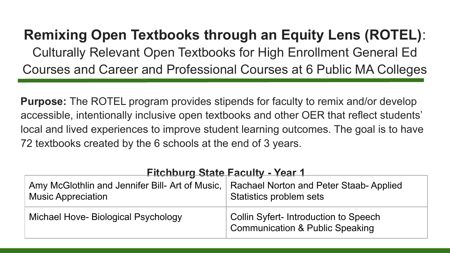### **Remixing Open Textbooks through an Equity Lens (ROTEL)**: Culturally Relevant Open Textbooks for High Enrollment General Ed Courses and Career and Professional Courses at 6 Public MA Colleges

**Purpose:** The ROTEL program provides stipends for faculty to remix and/or develop accessible, intentionally inclusive open textbooks and other OER that reflect students' local and lived experiences to improve student learning outcomes. The goal is to have 72 textbooks created by the 6 schools at the end of 3 years.

| <b>Fitchburg State Faculty - Year 1</b>                                                                               |                                                                                     |  |
|-----------------------------------------------------------------------------------------------------------------------|-------------------------------------------------------------------------------------|--|
| Amy McGlothlin and Jennifer Bill- Art of Music,   Rachael Norton and Peter Staab-Applied<br><b>Music Appreciation</b> | Statistics problem sets                                                             |  |
| Michael Hove- Biological Psychology                                                                                   | Collin Syfert- Introduction to Speech<br><b>Communication &amp; Public Speaking</b> |  |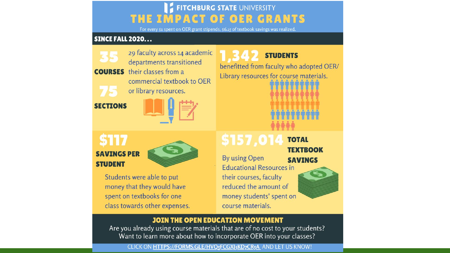#### **FITCHBURG STATE UNIVERSITY MPACT OF OER GRANTS** THE

For every \$1 spent on OER grant stipends, \$6.15 of textbook savings was realized.

#### **SINCE FALL 2020...**

29 faculty across 14 academic departments transitioned **COURSES** their classes from a commercial textbook to OER or library resources.

**SECTIONS** 

| $\cdots$ , $\cdots$ |  |
|---------------------|--|
|                     |  |
|                     |  |
|                     |  |
|                     |  |

**SAVINGS PER STUDENT** 



Students were able to put money that they would have spent on textbooks for one class towards other expenses.

**STUDENTS** benefitted from faculty who adopted OER/ Library resources for course materials.

### \$157.014 **TOTAL TEXTROOK**

By using Open **SAVINGS Educational Resources in** their courses, faculty reduced the amount of money students' spent on course materials.

#### **JOIN THE OPEN EDUCATION MOVEMENT**

Are you already using course materials that are of no cost to your students? Want to learn more about how to incorporate OER into your classes?

#### CLICK ON HTTPS://FORMS.GLE/HVQ<sub>5</sub>FCGXJ3KD<sub>7</sub>CR5A AND LET US KNOW!